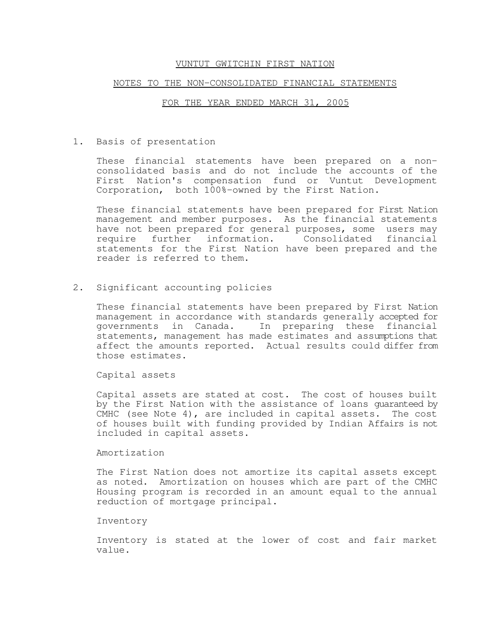#### NOTES TO THE NON-CONSOLIDATED FINANCIAL STATEMENTS

# FOR THE YEAR ENDED MARCH 31, 2005

1. Basis of presentation

These financial statements have been prepared on a nonconsolidated basis and do not include the accounts of the First Nation's compensation fund or Vuntut Development Corporation, both 100%-owned by the First Nation.

These financial statements have been prepared for First Nation management and member purposes. As the financial statements have not been prepared for general purposes, some users may require further information. Consolidated financial statements for the First Nation have been prepared and the reader is referred to them.

2. Significant accounting policies

These financial statements have been prepared by First Nation management in accordance with standards generally accepted for governments in Canada. In preparing these financial statements, management has made estimates and assumptions that affect the amounts reported. Actual results could differ from those estimates.

Capital assets

Capital assets are stated at cost. The cost of houses built by the First Nation with the assistance of loans guaranteed by CMHC (see Note 4), are included in capital assets. The cost of houses built with funding provided by Indian Affairs is not included in capital assets.

Amortization

The First Nation does not amortize its capital assets except as noted. Amortization on houses which are part of the CMHC Housing program is recorded in an amount equal to the annual reduction of mortgage principal.

#### Inventory

Inventory is stated at the lower of cost and fair market value.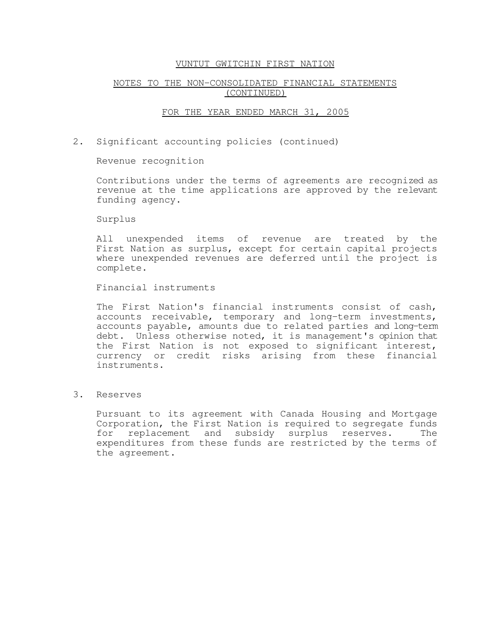# NOTES TO THE NON-CONSOLIDATED FINANCIAL STATEMENTS (CONTINUED)

#### FOR THE YEAR ENDED MARCH 31, 2005

2. Significant accounting policies (continued)

Revenue recognition

Contributions under the terms of agreements are recognized as revenue at the time applications are approved by the relevant funding agency.

Surplus

All unexpended items of revenue are treated by the First Nation as surplus, except for certain capital projects where unexpended revenues are deferred until the project is complete.

Financial instruments

The First Nation's financial instruments consist of cash, accounts receivable, temporary and long-term investments, accounts payable, amounts due to related parties and long-term debt. Unless otherwise noted, it is management's opinion that the First Nation is not exposed to significant interest, currency or credit risks arising from these financial instruments.

3. Reserves

Pursuant to its agreement with Canada Housing and Mortgage Corporation, the First Nation is required to segregate funds for replacement and subsidy surplus reserves. The expenditures from these funds are restricted by the terms of the agreement.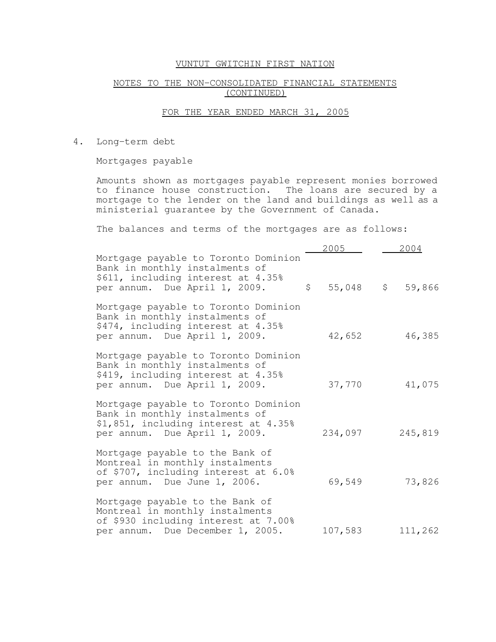# NOTES TO THE NON-CONSOLIDATED FINANCIAL STATEMENTS (CONTINUED)

## FOR THE YEAR ENDED MARCH 31, 2005

4. Long-term debt

Mortgages payable

Amounts shown as mortgages payable represent monies borrowed to finance house construction. The loans are secured by a mortgage to the lender on the land and buildings as well as a ministerial guarantee by the Government of Canada.

The balances and terms of the mortgages are as follows:

|                                                                                                                                                 | 2005                      | 2004    |
|-------------------------------------------------------------------------------------------------------------------------------------------------|---------------------------|---------|
| Mortgage payable to Toronto Dominion<br>Bank in monthly instalments of<br>\$611, including interest at 4.35%<br>per annum. Due April 1, 2009.   | $\mathsf{S}$<br>55,048 \$ | 59,866  |
| Mortgage payable to Toronto Dominion<br>Bank in monthly instalments of<br>\$474, including interest at 4.35%<br>per annum. Due April 1, 2009.   | 42,652                    | 46,385  |
| Mortgage payable to Toronto Dominion<br>Bank in monthly instalments of<br>\$419, including interest at 4.35%<br>per annum. Due April 1, 2009.   | 37,770                    | 41,075  |
| Mortgage payable to Toronto Dominion<br>Bank in monthly instalments of<br>\$1,851, including interest at 4.35%<br>per annum. Due April 1, 2009. | 234,097                   | 245,819 |
| Mortgage payable to the Bank of<br>Montreal in monthly instalments<br>of \$707, including interest at 6.0%<br>per annum. Due June 1, 2006.      | 69,549                    | 73,826  |
| Mortgage payable to the Bank of<br>Montreal in monthly instalments<br>of \$930 including interest at 7.00%<br>per annum. Due December 1, 2005.  | 107,583                   | 111,262 |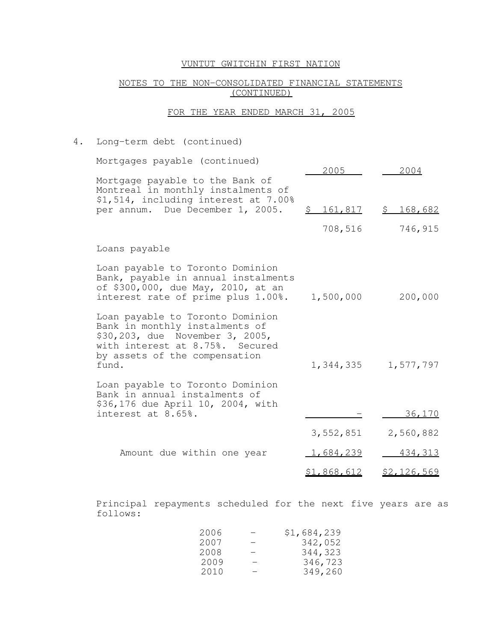# NOTES TO THE NON-CONSOLIDATED FINANCIAL STATEMENTS (CONTINUED)

# FOR THE YEAR ENDED MARCH 31, 2005

# 4. Long-term debt (continued)

| Mortgages payable (continued)                                                                                                                                                      | 2005        | 2004        |
|------------------------------------------------------------------------------------------------------------------------------------------------------------------------------------|-------------|-------------|
| Mortgage payable to the Bank of<br>Montreal in monthly instalments of<br>\$1,514, including interest at 7.00%<br>per annum. Due December 1, 2005.                                  | \$161,817   | \$168,682   |
|                                                                                                                                                                                    | 708,516     | 746,915     |
| Loans payable                                                                                                                                                                      |             |             |
| Loan payable to Toronto Dominion<br>Bank, payable in annual instalments<br>of \$300,000, due May, 2010, at an<br>interest rate of prime plus 1.00%.                                | 1,500,000   | 200,000     |
| Loan payable to Toronto Dominion<br>Bank in monthly instalments of<br>\$30,203, due November 3, 2005,<br>with interest at 8.75%. Secured<br>by assets of the compensation<br>fund. | 1,344,335   | 1,577,797   |
| Loan payable to Toronto Dominion<br>Bank in annual instalments of<br>\$36,176 due April 10, 2004, with<br>interest at 8.65%.                                                       |             | 36,170      |
|                                                                                                                                                                                    | 3,552,851   | 2,560,882   |
| Amount due within one year                                                                                                                                                         | 1,684,239   | 434, 313    |
|                                                                                                                                                                                    | \$1,868,612 | \$2.126.569 |

Principal repayments scheduled for the next five years are as follows:

| 2006 | – | \$1,684,239 |
|------|---|-------------|
| 2007 | – | 342,052     |
| 2008 | - | 344,323     |
| 2009 | - | 346,723     |
| 2010 | - | 349,260     |